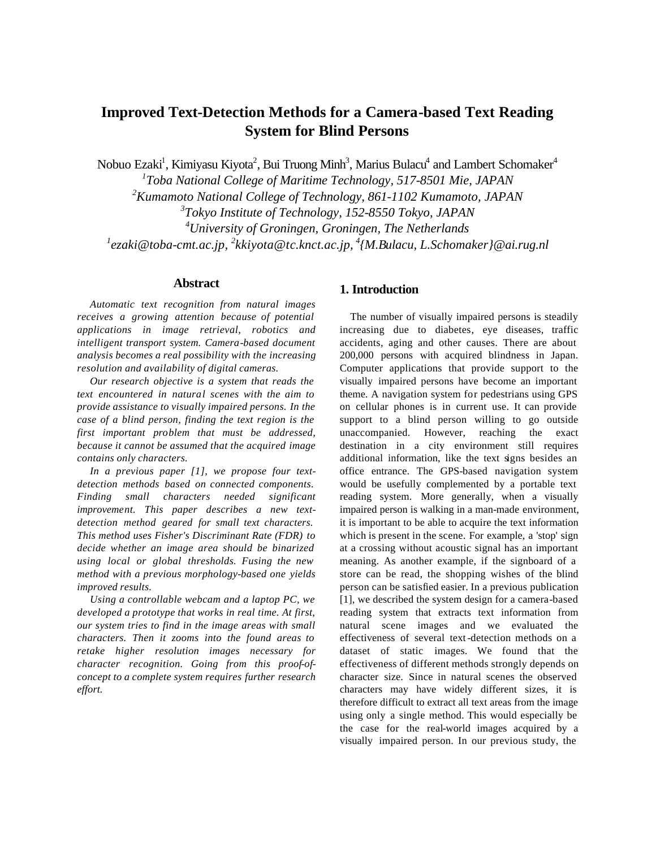# **Improved Text-Detection Methods for a Camera-based Text Reading System for Blind Persons**

Nobuo Ezaki<sup>1</sup>, Kimiyasu Kiyota<sup>2</sup>, Bui Truong Minh<sup>3</sup>, Marius Bulacu<sup>4</sup> and Lambert Schomaker<sup>4</sup>

*1 Toba National College of Maritime Technology, 517-8501 Mie, JAPAN*

*<sup>2</sup>Kumamoto National College of Technology, 861-1102 Kumamoto, JAPAN*

*3 Tokyo Institute of Technology, 152-8550 Tokyo, JAPAN*

*<sup>4</sup>University of Groningen, Groningen, The Netherlands*

*1 ezaki@toba-cmt.ac.jp, <sup>2</sup> kkiyota@tc.knct.ac.jp, <sup>4</sup> {M.Bulacu, L.Schomaker}@ai.rug.nl*

# **Abstract**

*Automatic text recognition from natural images receives a growing attention because of potential applications in image retrieval, robotics and intelligent transport system. Camera-based document analysis becomes a real possibility with the increasing resolution and availability of digital cameras.*

*Our research objective is a system that reads the text encountered in natural scenes with the aim to provide assistance to visually impaired persons. In the case of a blind person, finding the text region is the first important problem that must be addressed, because it cannot be assumed that the acquired image contains only characters.*

*In a previous paper [1], we propose four textdetection methods based on connected components. Finding small characters needed significant improvement. This paper describes a new textdetection method geared for small text characters. This method uses Fisher's Discriminant Rate (FDR) to decide whether an image area should be binarized using local or global thresholds. Fusing the new method with a previous morphology-based one yields improved results.*

*Using a controllable webcam and a laptop PC, we developed a prototype that works in real time. At first, our system tries to find in the image areas with small characters. Then it zooms into the found areas to retake higher resolution images necessary for character recognition. Going from this proof-ofconcept to a complete system requires further research effort.*

#### **1. Introduction**

The number of visually impaired persons is steadily increasing due to diabetes, eye diseases, traffic accidents, aging and other causes. There are about 200,000 persons with acquired blindness in Japan. Computer applications that provide support to the visually impaired persons have become an important theme. A navigation system for pedestrians using GPS on cellular phones is in current use. It can provide support to a blind person willing to go outside unaccompanied. However, reaching the exact destination in a city environment still requires additional information, like the text signs besides an office entrance. The GPS-based navigation system would be usefully complemented by a portable text reading system. More generally, when a visually impaired person is walking in a man-made environment, it is important to be able to acquire the text information which is present in the scene. For example, a 'stop' sign at a crossing without acoustic signal has an important meaning. As another example, if the signboard of a store can be read, the shopping wishes of the blind person can be satisfied easier. In a previous publication [1], we described the system design for a camera-based reading system that extracts text information from natural scene images and we evaluated the effectiveness of several text-detection methods on a dataset of static images. We found that the effectiveness of different methods strongly depends on character size. Since in natural scenes the observed characters may have widely different sizes, it is therefore difficult to extract all text areas from the image using only a single method. This would especially be the case for the real-world images acquired by a visually impaired person. In our previous study, the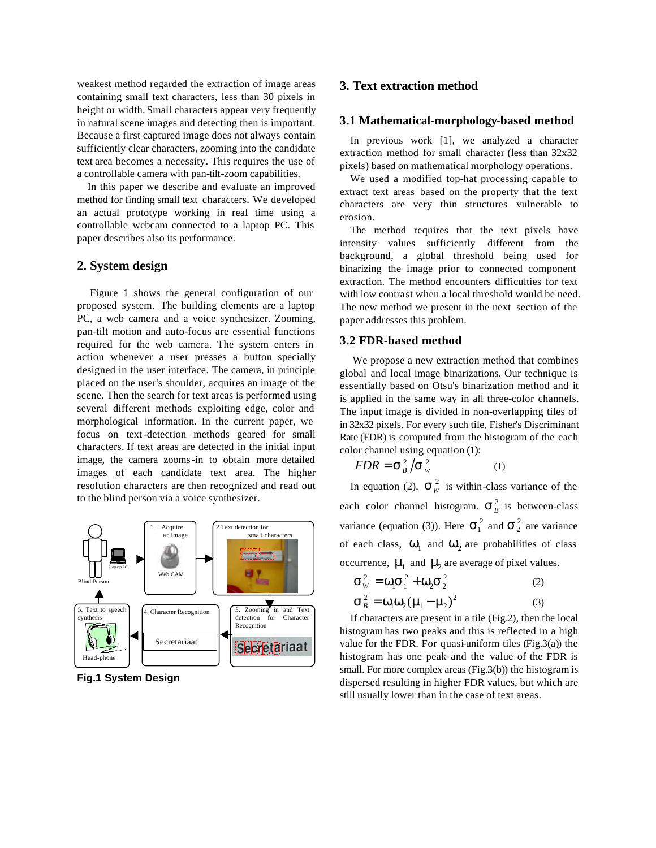weakest method regarded the extraction of image areas containing small text characters, less than 30 pixels in height or width. Small characters appear very frequently in natural scene images and detecting then is important. Because a first captured image does not always contain sufficiently clear characters, zooming into the candidate text area becomes a necessity. This requires the use of a controllable camera with pan-tilt-zoom capabilities.

In this paper we describe and evaluate an improved method for finding small text characters. We developed an actual prototype working in real time using a controllable webcam connected to a laptop PC. This paper describes also its performance.

#### **2. System design**

Figure 1 shows the general configuration of our proposed system. The building elements are a laptop PC, a web camera and a voice synthesizer. Zooming, pan-tilt motion and auto-focus are essential functions required for the web camera. The system enters in action whenever a user presses a button specially designed in the user interface. The camera, in principle placed on the user's shoulder, acquires an image of the scene. Then the search for text areas is performed using several different methods exploiting edge, color and morphological information. In the current paper, we focus on text-detection methods geared for small characters. If text areas are detected in the initial input image, the camera zooms-in to obtain more detailed images of each candidate text area. The higher resolution characters are then recognized and read out to the blind person via a voice synthesizer.



**Fig.1 System Design**

## **3. Text extraction method**

#### **3.1 Mathematical-morphology-based method**

In previous work [1], we analyzed a character extraction method for small character (less than 32x32 pixels) based on mathematical morphology operations.

We used a modified top-hat processing capable to extract text areas based on the property that the text characters are very thin structures vulnerable to erosion.

The method requires that the text pixels have intensity values sufficiently different from the background, a global threshold being used for binarizing the image prior to connected component extraction. The method encounters difficulties for text with low contrast when a local threshold would be need. The new method we present in the next section of the paper addresses this problem.

#### **3.2 FDR-based method**

We propose a new extraction method that combines global and local image binarizations. Our technique is essentially based on Otsu's binarization method and it is applied in the same way in all three-color channels. The input image is divided in non-overlapping tiles of in 32x32 pixels. For every such tile, Fisher's Discriminant Rate (FDR) is computed from the histogram of the each color channel using equation (1):

$$
FDR = \mathbf{S}_{B}^{2} / \mathbf{S}_{w}^{2}
$$
 (1)

In equation (2),  $S_W^2$  is within-class variance of the each color channel histogram.  $S_B^2$  is between-class variance (equation (3)). Here  $S_1^2$  and  $S_2^2$  are variance of each class,  $W_1$  and  $W_2$  are probabilities of class occurrence, *m*<sup>1</sup> and *m*<sup>2</sup> are average of pixel values.

$$
\mathbf{S}_W^2 = \mathbf{W}_1 \mathbf{S}_1^2 + \mathbf{W}_2 \mathbf{S}_2^2
$$
 (2)  

$$
\mathbf{S}_B^2 = \mathbf{W}_1 \mathbf{W}_2 (\mathbf{M} - \mathbf{M}_2)^2
$$
 (3)

If characters are present in a tile (Fig.2), then the local histogram has two peaks and this is reflected in a high value for the FDR. For quasi-uniform tiles  $(Fig.3(a))$  the histogram has one peak and the value of the FDR is small. For more complex areas (Fig.3(b)) the histogram is dispersed resulting in higher FDR values, but which are still usually lower than in the case of text areas.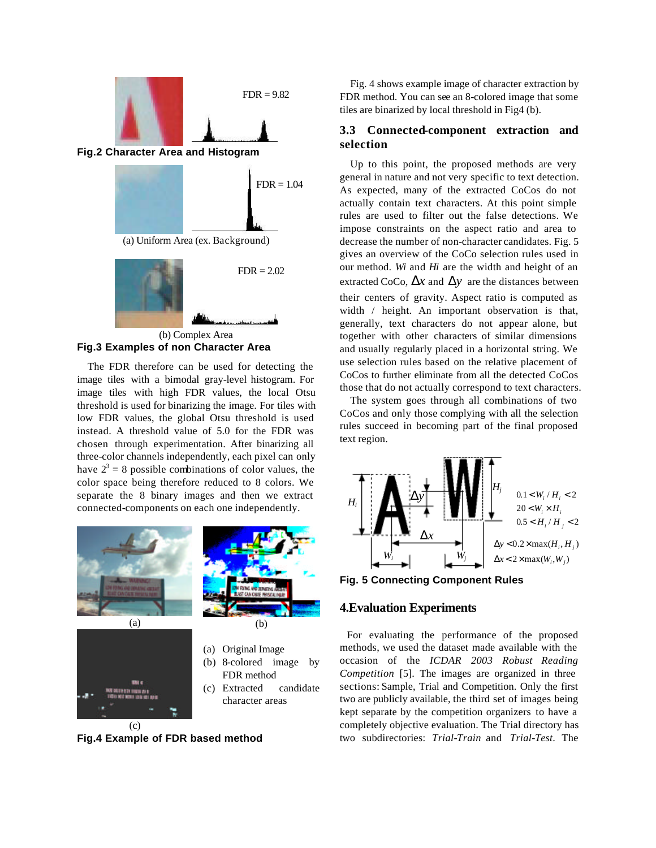



The FDR therefore can be used for detecting the image tiles with a bimodal gray-level histogram. For image tiles with high FDR values, the local Otsu threshold is used for binarizing the image. For tiles with low FDR values, the global Otsu threshold is used instead. A threshold value of 5.0 for the FDR was chosen through experimentation. After binarizing all three-color channels independently, each pixel can only have  $2^3 = 8$  possible combinations of color values, the color space being therefore reduced to 8 colors. We separate the 8 binary images and then we extract connected-components on each one independently.



**Fig.4 Example of FDR based method** 

Fig. 4 shows example image of character extraction by FDR method. You can see an 8-colored image that some tiles are binarized by local threshold in Fig4 (b).

# **3.3 Connected-component extraction and selection**

Up to this point, the proposed methods are very general in nature and not very specific to text detection. As expected, many of the extracted CoCos do not actually contain text characters. At this point simple rules are used to filter out the false detections. We impose constraints on the aspect ratio and area to decrease the number of non-character candidates. Fig. 5 gives an overview of the CoCo selection rules used in our method. *Wi* and *Hi* are the width and height of an extracted CoCo,  $\Delta x$  and  $\Delta y$  are the distances between their centers of gravity. Aspect ratio is computed as width / height. An important observation is that, generally, text characters do not appear alone, but together with other characters of similar dimensions and usually regularly placed in a horizontal string. We use selection rules based on the relative placement of CoCos to further eliminate from all the detected CoCos those that do not actually correspond to text characters.

The system goes through all combinations of two CoCos and only those complying with all the selection rules succeed in becoming part of the final proposed text region.



**Fig. 5 Connecting Component Rules**

#### **4.Evaluation Experiments**

For evaluating the performance of the proposed methods, we used the dataset made available with the occasion of the *ICDAR 2003 Robust Reading Competition* [5]. The images are organized in three sections: Sample, Trial and Competition. Only the first two are publicly available, the third set of images being kept separate by the competition organizers to have a completely objective evaluation. The Trial directory has two subdirectories: *Trial-Train* and *Trial-Test*. The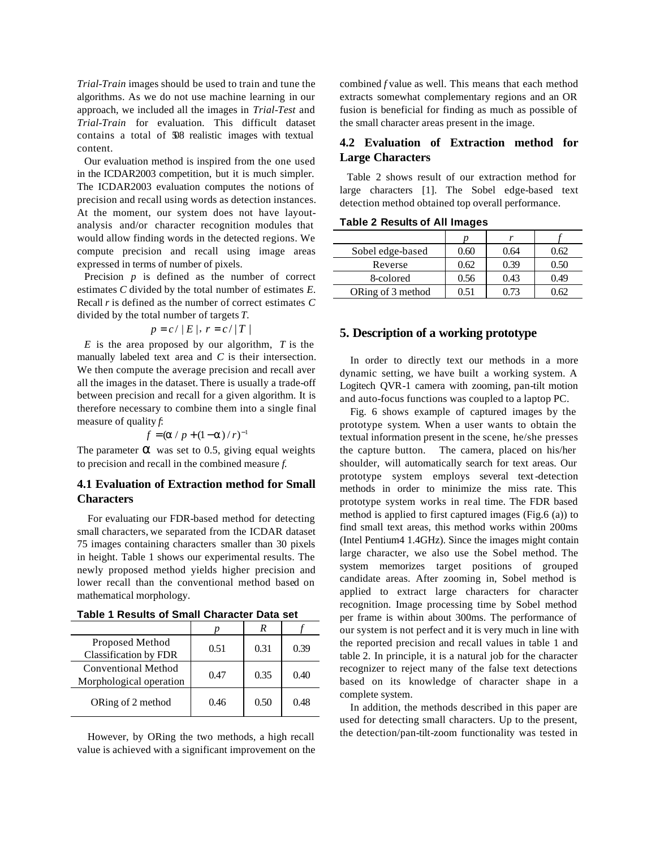*Trial-Train* images should be used to train and tune the algorithms. As we do not use machine learning in our approach, we included all the images in *Trial-Test* and *Trial-Train* for evaluation. This difficult dataset contains a total of 508 realistic images with textual content.

Our evaluation method is inspired from the one used in the ICDAR2003 competition, but it is much simpler. The ICDAR2003 evaluation computes the notions of precision and recall using words as detection instances. At the moment, our system does not have layoutanalysis and/or character recognition modules that would allow finding words in the detected regions. We compute precision and recall using image areas expressed in terms of number of pixels.

Precision *p* is defined as the number of correct estimates *C* divided by the total number of estimates *E*. Recall *r* is defined as the number of correct estimates *C* divided by the total number of targets *T*.

$$
p = c / |E|, r = c / |T|
$$

*E* is the area proposed by our algorithm, *T* is the manually labeled text area and *C* is their intersection. We then compute the average precision and recall aver all the images in the dataset. There is usually a trade-off between precision and recall for a given algorithm. It is therefore necessary to combine them into a single final measure of quality *f*:

$$
f = (a/p + (1-a)/r)^{-1}
$$

The parameter  $a$  was set to 0.5, giving equal weights to precision and recall in the combined measure *f*.

## **4.1 Evaluation of Extraction method for Small Characters**

For evaluating our FDR-based method for detecting small characters, we separated from the ICDAR dataset 75 images containing characters smaller than 30 pixels in height. Table 1 shows our experimental results. The newly proposed method yields higher precision and lower recall than the conventional method based on mathematical morphology.

| Proposed Method<br>Classification by FDR       | 0.51 | 0.31 | 0.39 |
|------------------------------------------------|------|------|------|
| Conventional Method<br>Morphological operation | 0.47 | 0.35 | 0.40 |
| ORing of 2 method                              | 0.46 | 0.50 | 0.48 |

**Table 1 Results of Small Character Data set**

However, by ORing the two methods, a high recall value is achieved with a significant improvement on the combined *f* value as well. This means that each method extracts somewhat complementary regions and an OR fusion is beneficial for finding as much as possible of the small character areas present in the image.

# **4.2 Evaluation of Extraction method for Large Characters**

Table 2 shows result of our extraction method for large characters [1]. The Sobel edge-based text detection method obtained top overall performance.

**Table 2 Results of All Images**

| Sobel edge-based  | 0.60 | 0.64 | 0.62 |
|-------------------|------|------|------|
| Reverse           | 0.62 | 0.39 | 0.50 |
| 8-colored         | 0.56 | 0.43 | 0.49 |
| ORing of 3 method | 0.51 | 0.73 | ) 62 |

#### **5. Description of a working prototype**

In order to directly text our methods in a more dynamic setting, we have built a working system. A Logitech QVR-1 camera with zooming, pan-tilt motion and auto-focus functions was coupled to a laptop PC.

Fig. 6 shows example of captured images by the prototype system. When a user wants to obtain the textual information present in the scene, he/she presses the capture button. The camera, placed on his/her shoulder, will automatically search for text areas. Our prototype system employs several text-detection methods in order to minimize the miss rate. This prototype system works in real time. The FDR based method is applied to first captured images (Fig.6 (a)) to find small text areas, this method works within 200ms (Intel Pentium4 1.4GHz). Since the images might contain large character, we also use the Sobel method. The system memorizes target positions of grouped candidate areas. After zooming in, Sobel method is applied to extract large characters for character recognition. Image processing time by Sobel method per frame is within about 300ms. The performance of our system is not perfect and it is very much in line with the reported precision and recall values in table 1 and table 2. In principle, it is a natural job for the character recognizer to reject many of the false text detections based on its knowledge of character shape in a complete system.

In addition, the methods described in this paper are used for detecting small characters. Up to the present, the detection/pan-tilt-zoom functionality was tested in